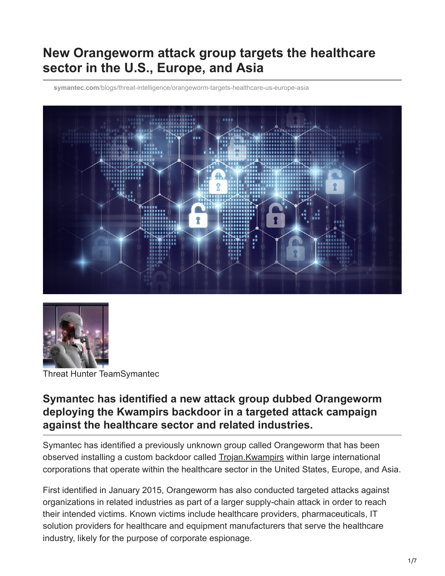# **New Orangeworm attack group targets the healthcare sector in the U.S., Europe, and Asia**

**symantec.com**[/blogs/threat-intelligence/orangeworm-targets-healthcare-us-europe-asia](https://www.symantec.com/blogs/threat-intelligence/orangeworm-targets-healthcare-us-europe-asia)





Threat Hunter TeamSymantec

#### **Symantec has identified a new attack group dubbed Orangeworm deploying the Kwampirs backdoor in a targeted attack campaign against the healthcare sector and related industries.**

Symantec has identified a previously unknown group called Orangeworm that has been observed installing a custom backdoor called [Trojan.Kwampirs](https://www.symantec.com/security_response/writeup.jsp?docid=2016-081923-2700-99) within large international corporations that operate within the healthcare sector in the United States, Europe, and Asia.

First identified in January 2015, Orangeworm has also conducted targeted attacks against organizations in related industries as part of a larger supply-chain attack in order to reach their intended victims. Known victims include healthcare providers, pharmaceuticals, IT solution providers for healthcare and equipment manufacturers that serve the healthcare industry, likely for the purpose of corporate espionage.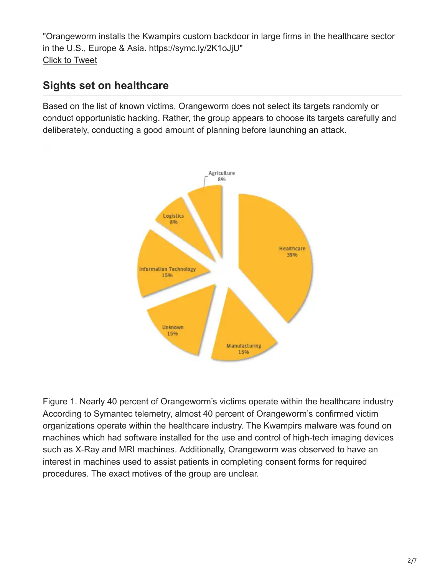"Orangeworm installs the Kwampirs custom backdoor in large firms in the healthcare sector in the U.S., Europe & Asia. https://symc.ly/2K1oJjU" [Click to Tweet](https://twitter.com/intent/tweet?text=Orangeworm%20installs%20the%20Kwampirs%20custom%20backdoor%20in%20large%20firms%20in%20the%20healthcare%20sector%20in%20the%20U.S.,%20Europe%20%26%20Asia.%20https://symc.ly/2K1oJjU&via=threatintel&hashtags=undefined)

#### **Sights set on healthcare**

Based on the list of known victims, Orangeworm does not select its targets randomly or conduct opportunistic hacking. Rather, the group appears to choose its targets carefully and deliberately, conducting a good amount of planning before launching an attack.



Figure 1. Nearly 40 percent of Orangeworm's victims operate within the healthcare industry According to Symantec telemetry, almost 40 percent of Orangeworm's confirmed victim organizations operate within the healthcare industry. The Kwampirs malware was found on machines which had software installed for the use and control of high-tech imaging devices such as X-Ray and MRI machines. Additionally, Orangeworm was observed to have an interest in machines used to assist patients in completing consent forms for required procedures. The exact motives of the group are unclear.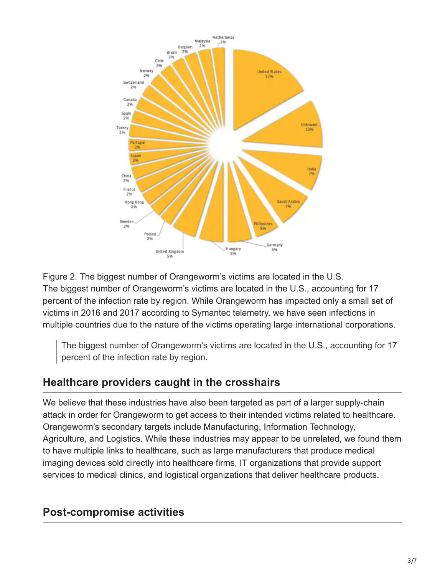



Figure 2. The biggest number of Orangeworm's victims are located in the U.S. The biggest number of Orangeworm's victims are located in the U.S., accounting for 17 percent of the infection rate by region. While Orangeworm has impacted only a small set of victims in 2016 and 2017 according to Symantec telemetry, we have seen infections in multiple countries due to the nature of the victims operating large international corporations.

The biggest number of Orangeworm's victims are located in the U.S., accounting for 17 percent of the infection rate by region.

### **Healthcare providers caught in the crosshairs**

We believe that these industries have also been targeted as part of a larger supply-chain attack in order for Orangeworm to get access to their intended victims related to healthcare. Orangeworm's secondary targets include Manufacturing, Information Technology, Agriculture, and Logistics. While these industries may appear to be unrelated, we found them to have multiple links to healthcare, such as large manufacturers that produce medical imaging devices sold directly into healthcare firms, IT organizations that provide support services to medical clinics, and logistical organizations that deliver healthcare products.

# **Post-compromise activities**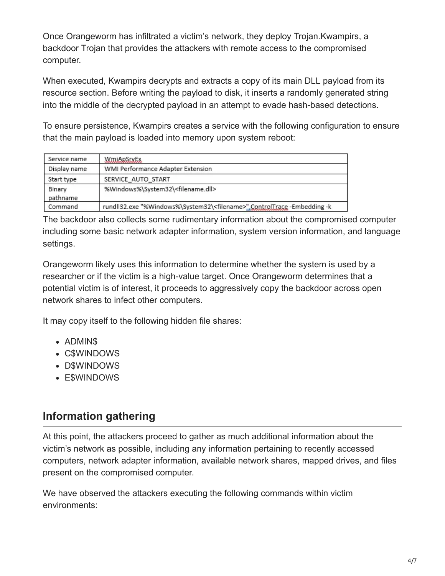Once Orangeworm has infiltrated a victim's network, they deploy Trojan.Kwampirs, a backdoor Trojan that provides the attackers with remote access to the compromised computer.

When executed, Kwampirs decrypts and extracts a copy of its main DLL payload from its resource section. Before writing the payload to disk, it inserts a randomly generated string into the middle of the decrypted payload in an attempt to evade hash-based detections.

To ensure persistence, Kwampirs creates a service with the following configuration to ensure that the main payload is loaded into memory upon system reboot:

| Service name       | WmiApSryEx                                                                          |
|--------------------|-------------------------------------------------------------------------------------|
| Display name       | WMI Performance Adapter Extension                                                   |
| Start type         | SERVICE AUTO START                                                                  |
| Binary<br>pathname | %Windows%\System32\ <filename.dll></filename.dll>                                   |
| Command            | rundll32.exe "%Windows%\System32\ <filename>" ControlTrace -Embedding -k</filename> |

The backdoor also collects some rudimentary information about the compromised computer including some basic network adapter information, system version information, and language settings.

Orangeworm likely uses this information to determine whether the system is used by a researcher or if the victim is a high-value target. Once Orangeworm determines that a potential victim is of interest, it proceeds to aggressively copy the backdoor across open network shares to infect other computers.

It may copy itself to the following hidden file shares:

- ADMIN\$
- C\$WINDOWS
- D\$WINDOWS
- E\$WINDOWS

### **Information gathering**

At this point, the attackers proceed to gather as much additional information about the victim's network as possible, including any information pertaining to recently accessed computers, network adapter information, available network shares, mapped drives, and files present on the compromised computer.

We have observed the attackers executing the following commands within victim environments: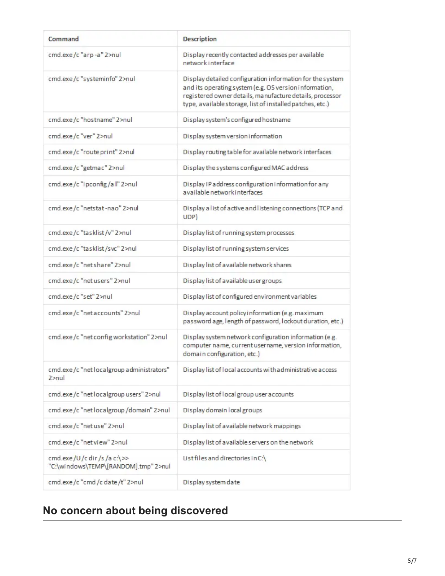| Command                                                           | <b>Description</b>                                                                                                                                                                                                                           |
|-------------------------------------------------------------------|----------------------------------------------------------------------------------------------------------------------------------------------------------------------------------------------------------------------------------------------|
| cmd.exe/c"arp-a"2>nul                                             | Display recently contacted addresses per available<br>network interface                                                                                                                                                                      |
| cmd.exe/c "systeminfo" 2>nul                                      | Display detailed configuration information for the system<br>and its operating system (e.g. OS version information,<br>registered owner details, manufacture details, processor<br>type, available storage, list of installed patches, etc.) |
| cmd.exe/c "hostname" 2>nul                                        | Display system's configured hostname                                                                                                                                                                                                         |
| cmd.exe/c "ver" 2>nul                                             | Display system version information                                                                                                                                                                                                           |
| cmd.exe/c "route print" 2>nul                                     | Display routing table for available network interfaces                                                                                                                                                                                       |
| cmd.exe/c "getmac" 2>nul                                          | Display the systems configured MAC address                                                                                                                                                                                                   |
| cmd.exe/c "ipconfig/all" 2>nul                                    | Display IP address configuration information for any<br>available network interfaces                                                                                                                                                         |
| cmd.exe/c "netstat-nao" 2>nul                                     | Display a list of active and listening connections (TCP and<br>UDP)                                                                                                                                                                          |
| cmd.exe/c "tasklist/v" 2>nul                                      | Display list of running system processes                                                                                                                                                                                                     |
| cmd.exe/c "tasklist/svc" 2>nul                                    | Display list of running system services                                                                                                                                                                                                      |
| cmd.exe/c "net share" 2>nul                                       | Display list of available network shares                                                                                                                                                                                                     |
| cmd.exe/c "net users" 2>nul                                       | Display list of available user groups                                                                                                                                                                                                        |
| cmd.exe/c "set" 2>nul                                             | Display list of configured environment variables                                                                                                                                                                                             |
| cmd.exe/c "net accounts" 2>nul                                    | Display account policy information (e.g. maximum<br>password age, length of password, lockout duration, etc.)                                                                                                                                |
| cmd.exe/c "net config workstation" 2>nul                          | Display system network configuration information (e.g.<br>computer name, current username, version information,<br>domain configuration, etc.)                                                                                               |
| cmd.exe/c "netlocalgroup administrators"<br>2>nu                  | Display list of local accounts with administrative access                                                                                                                                                                                    |
| cmd.exe/c "net localgroup users" 2>nul                            | Display list of local group user accounts                                                                                                                                                                                                    |
| cmd.exe/c "net localgroup/domain" 2>nul                           | Display domain local groups                                                                                                                                                                                                                  |
| cmd.exe/c "netuse" 2>nul                                          | Display list of available network mappings                                                                                                                                                                                                   |
| cmd.exe/c "net view" 2>nul                                        | Display list of available servers on the network                                                                                                                                                                                             |
| cmd.exe/U/c dir/s/a c:\>><br>"C:\windows\TEMP\[RANDOM].tmp" 2>nul | List files and directories in C:\                                                                                                                                                                                                            |
| cmd.exe/c "cmd/c date/t" 2>nul                                    | Display system date                                                                                                                                                                                                                          |

# **No concern about being discovered**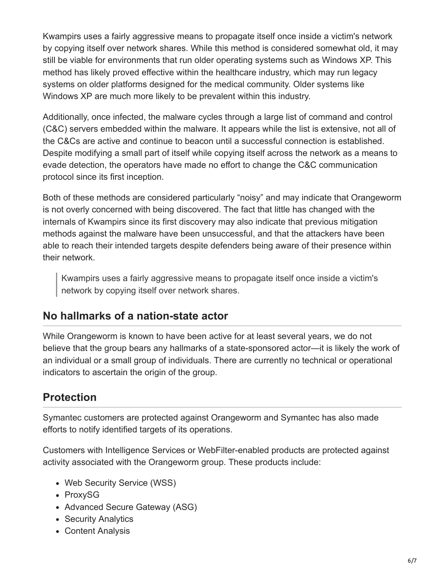Kwampirs uses a fairly aggressive means to propagate itself once inside a victim's network by copying itself over network shares. While this method is considered somewhat old, it may still be viable for environments that run older operating systems such as Windows XP. This method has likely proved effective within the healthcare industry, which may run legacy systems on older platforms designed for the medical community. Older systems like Windows XP are much more likely to be prevalent within this industry.

Additionally, once infected, the malware cycles through a large list of command and control (C&C) servers embedded within the malware. It appears while the list is extensive, not all of the C&Cs are active and continue to beacon until a successful connection is established. Despite modifying a small part of itself while copying itself across the network as a means to evade detection, the operators have made no effort to change the C&C communication protocol since its first inception.

Both of these methods are considered particularly "noisy" and may indicate that Orangeworm is not overly concerned with being discovered. The fact that little has changed with the internals of Kwampirs since its first discovery may also indicate that previous mitigation methods against the malware have been unsuccessful, and that the attackers have been able to reach their intended targets despite defenders being aware of their presence within their network.

Kwampirs uses a fairly aggressive means to propagate itself once inside a victim's network by copying itself over network shares.

### **No hallmarks of a nation-state actor**

While Orangeworm is known to have been active for at least several years, we do not believe that the group bears any hallmarks of a state-sponsored actor—it is likely the work of an individual or a small group of individuals. There are currently no technical or operational indicators to ascertain the origin of the group.

# **Protection**

Symantec customers are protected against Orangeworm and Symantec has also made efforts to notify identified targets of its operations.

Customers with Intelligence Services or WebFilter-enabled products are protected against activity associated with the Orangeworm group. These products include:

- Web Security Service (WSS)
- ProxySG
- Advanced Secure Gateway (ASG)
- Security Analytics
- Content Analysis